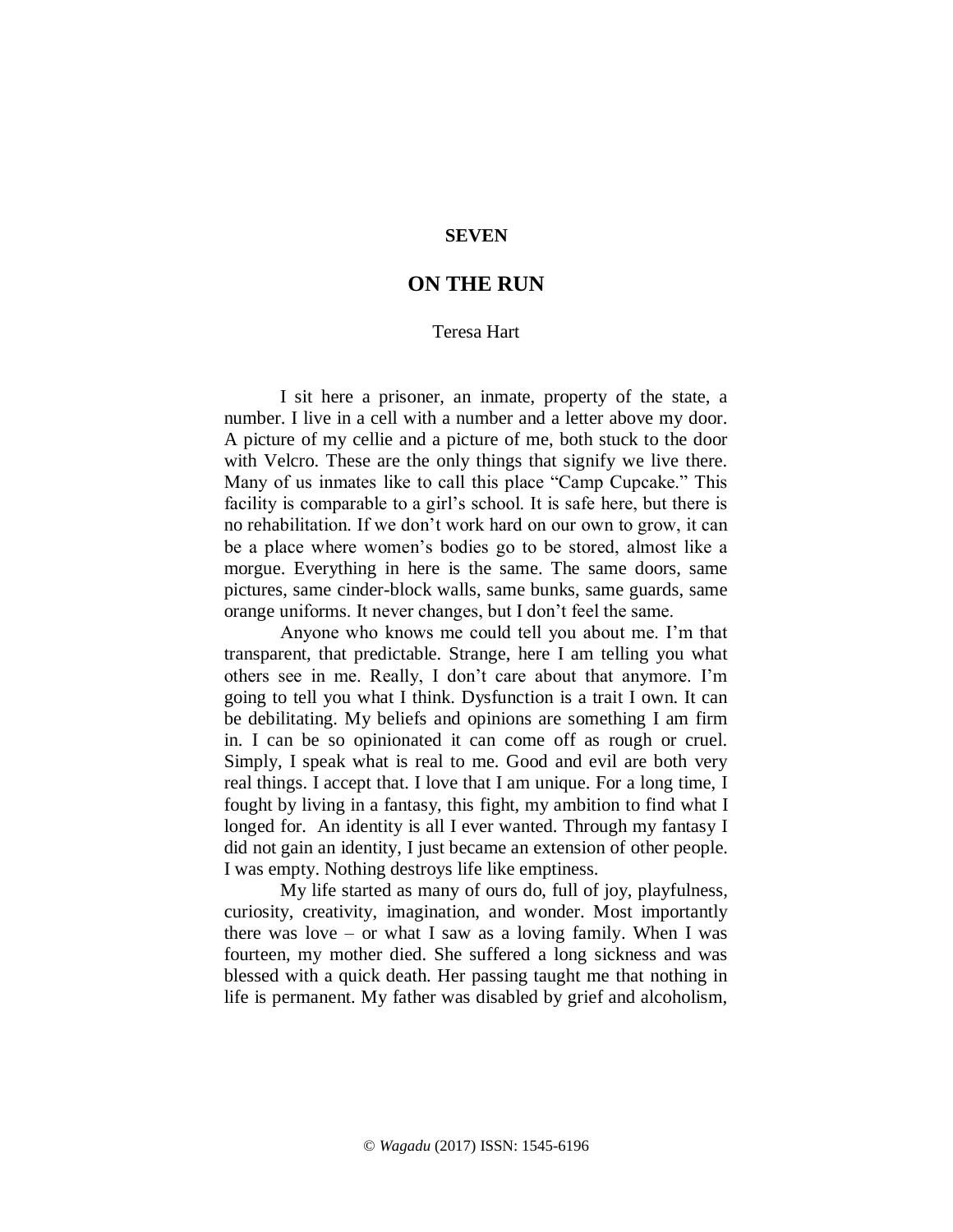## **SEVEN**

## **ON THE RUN**

## Teresa Hart

I sit here a prisoner, an inmate, property of the state, a number. I live in a cell with a number and a letter above my door. A picture of my cellie and a picture of me, both stuck to the door with Velcro. These are the only things that signify we live there. Many of us inmates like to call this place "Camp Cupcake." This facility is comparable to a girl's school. It is safe here, but there is no rehabilitation. If we don't work hard on our own to grow, it can be a place where women's bodies go to be stored, almost like a morgue. Everything in here is the same. The same doors, same pictures, same cinder-block walls, same bunks, same guards, same orange uniforms. It never changes, but I don't feel the same.

Anyone who knows me could tell you about me. I'm that transparent, that predictable. Strange, here I am telling you what others see in me. Really, I don't care about that anymore. I'm going to tell you what I think. Dysfunction is a trait I own. It can be debilitating. My beliefs and opinions are something I am firm in. I can be so opinionated it can come off as rough or cruel. Simply, I speak what is real to me. Good and evil are both very real things. I accept that. I love that I am unique. For a long time, I fought by living in a fantasy, this fight, my ambition to find what I longed for. An identity is all I ever wanted. Through my fantasy I did not gain an identity, I just became an extension of other people. I was empty. Nothing destroys life like emptiness.

My life started as many of ours do, full of joy, playfulness, curiosity, creativity, imagination, and wonder. Most importantly there was love – or what I saw as a loving family. When I was fourteen, my mother died. She suffered a long sickness and was blessed with a quick death. Her passing taught me that nothing in life is permanent. My father was disabled by grief and alcoholism,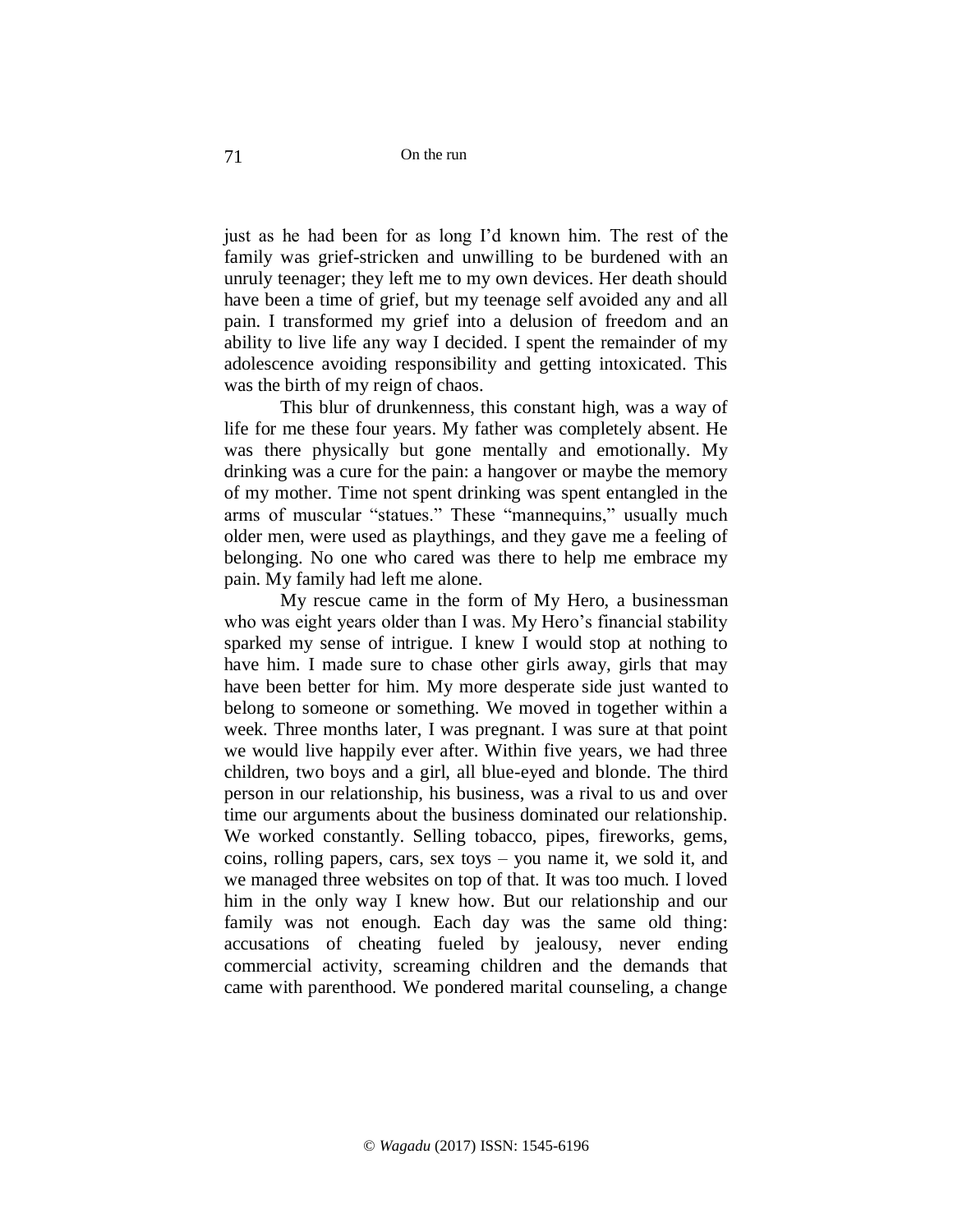just as he had been for as long I'd known him. The rest of the family was grief-stricken and unwilling to be burdened with an unruly teenager; they left me to my own devices. Her death should have been a time of grief, but my teenage self avoided any and all pain. I transformed my grief into a delusion of freedom and an ability to live life any way I decided. I spent the remainder of my adolescence avoiding responsibility and getting intoxicated. This was the birth of my reign of chaos.

This blur of drunkenness, this constant high, was a way of life for me these four years. My father was completely absent. He was there physically but gone mentally and emotionally. My drinking was a cure for the pain: a hangover or maybe the memory of my mother. Time not spent drinking was spent entangled in the arms of muscular "statues." These "mannequins," usually much older men, were used as playthings, and they gave me a feeling of belonging. No one who cared was there to help me embrace my pain. My family had left me alone.

My rescue came in the form of My Hero, a businessman who was eight years older than I was. My Hero's financial stability sparked my sense of intrigue. I knew I would stop at nothing to have him. I made sure to chase other girls away, girls that may have been better for him. My more desperate side just wanted to belong to someone or something. We moved in together within a week. Three months later, I was pregnant. I was sure at that point we would live happily ever after. Within five years, we had three children, two boys and a girl, all blue-eyed and blonde. The third person in our relationship, his business, was a rival to us and over time our arguments about the business dominated our relationship. We worked constantly. Selling tobacco, pipes, fireworks, gems, coins, rolling papers, cars, sex toys – you name it, we sold it, and we managed three websites on top of that. It was too much. I loved him in the only way I knew how. But our relationship and our family was not enough. Each day was the same old thing: accusations of cheating fueled by jealousy, never ending commercial activity, screaming children and the demands that came with parenthood. We pondered marital counseling, a change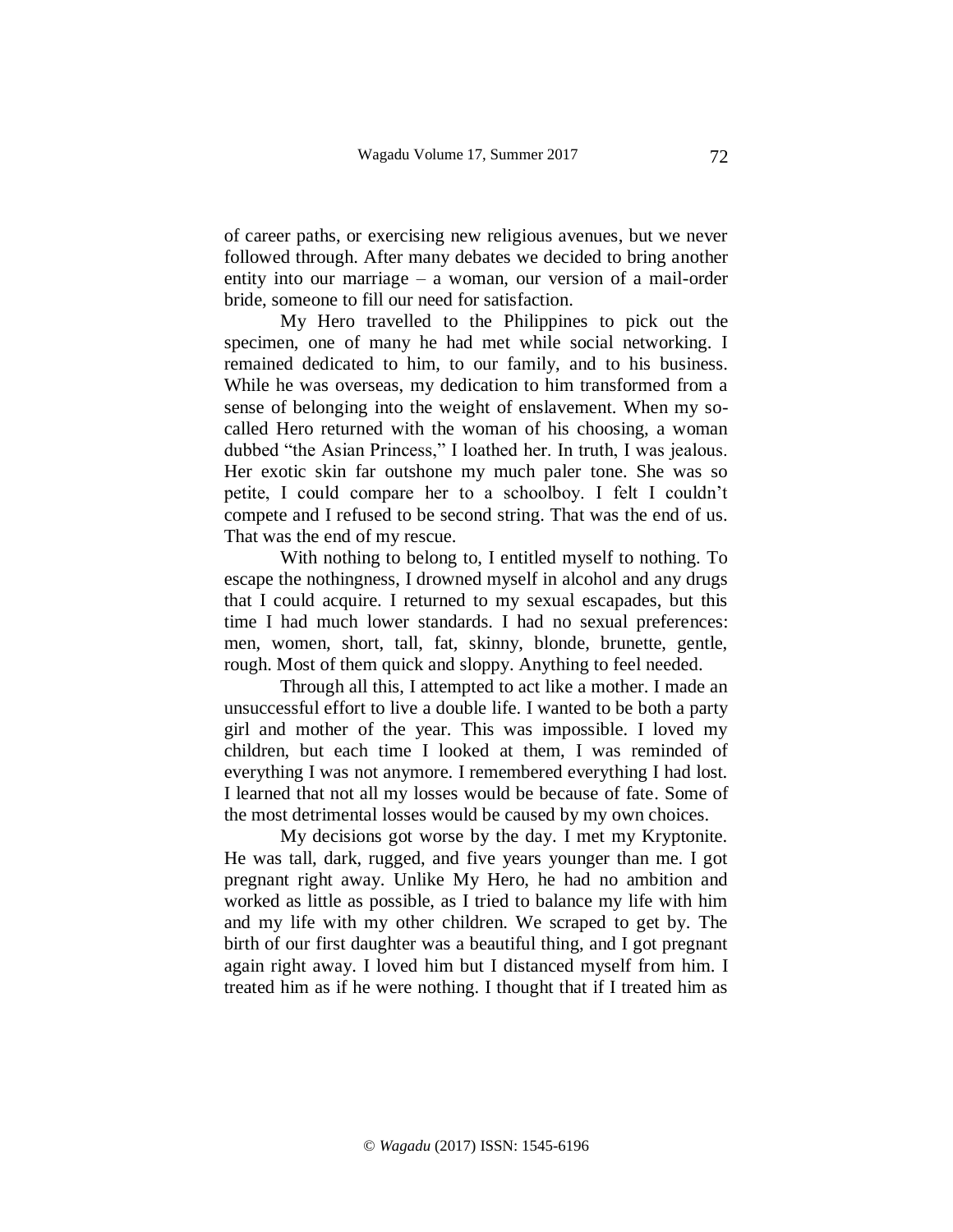of career paths, or exercising new religious avenues, but we never followed through. After many debates we decided to bring another entity into our marriage – a woman, our version of a mail-order bride, someone to fill our need for satisfaction.

My Hero travelled to the Philippines to pick out the specimen, one of many he had met while social networking. I remained dedicated to him, to our family, and to his business. While he was overseas, my dedication to him transformed from a sense of belonging into the weight of enslavement. When my socalled Hero returned with the woman of his choosing, a woman dubbed "the Asian Princess," I loathed her. In truth, I was jealous. Her exotic skin far outshone my much paler tone. She was so petite, I could compare her to a schoolboy. I felt I couldn't compete and I refused to be second string. That was the end of us. That was the end of my rescue.

With nothing to belong to, I entitled myself to nothing. To escape the nothingness, I drowned myself in alcohol and any drugs that I could acquire. I returned to my sexual escapades, but this time I had much lower standards. I had no sexual preferences: men, women, short, tall, fat, skinny, blonde, brunette, gentle, rough. Most of them quick and sloppy. Anything to feel needed.

Through all this, I attempted to act like a mother. I made an unsuccessful effort to live a double life. I wanted to be both a party girl and mother of the year. This was impossible. I loved my children, but each time I looked at them, I was reminded of everything I was not anymore. I remembered everything I had lost. I learned that not all my losses would be because of fate. Some of the most detrimental losses would be caused by my own choices.

My decisions got worse by the day. I met my Kryptonite. He was tall, dark, rugged, and five years younger than me. I got pregnant right away. Unlike My Hero, he had no ambition and worked as little as possible, as I tried to balance my life with him and my life with my other children. We scraped to get by. The birth of our first daughter was a beautiful thing, and I got pregnant again right away. I loved him but I distanced myself from him. I treated him as if he were nothing. I thought that if I treated him as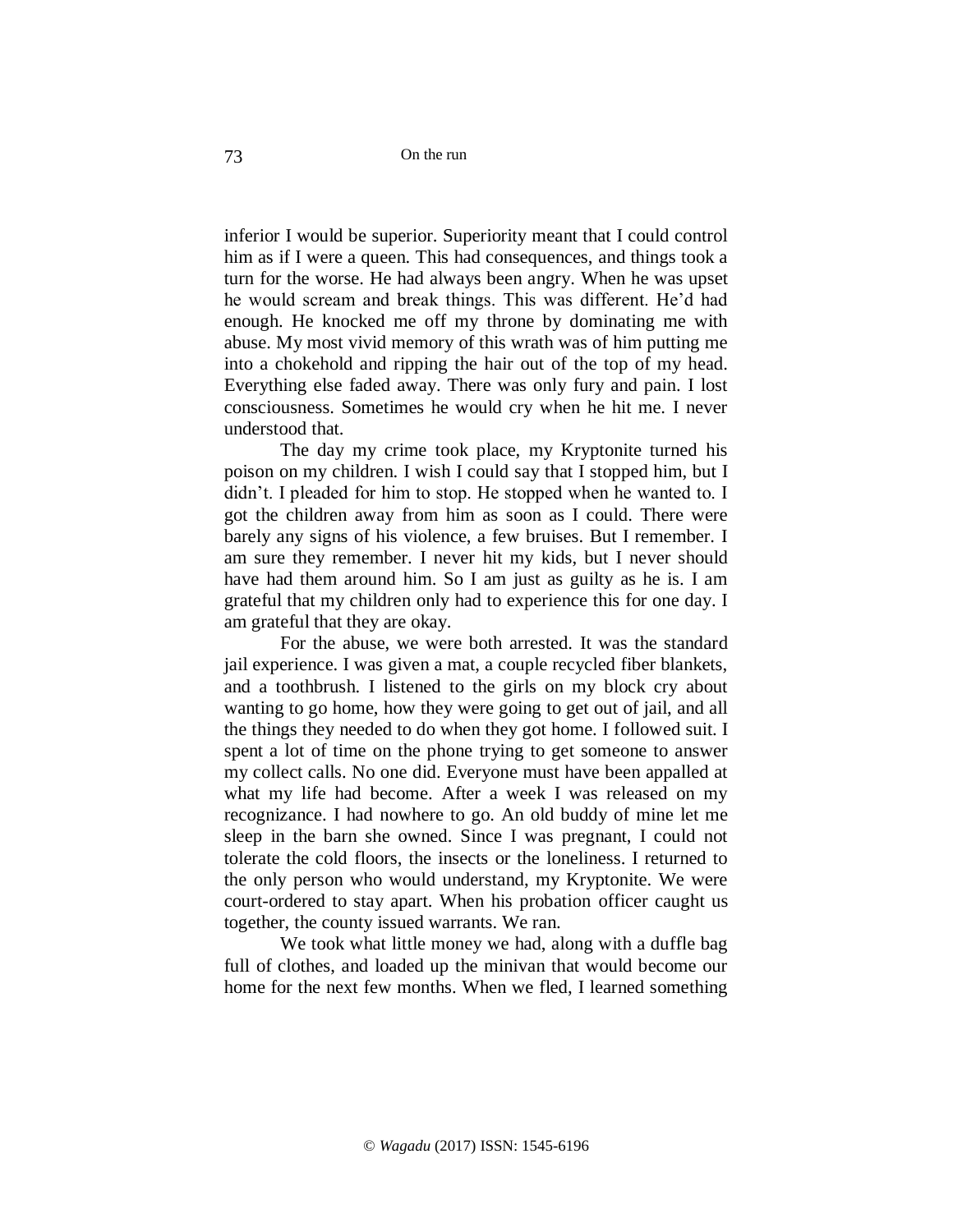inferior I would be superior. Superiority meant that I could control him as if I were a queen. This had consequences, and things took a turn for the worse. He had always been angry. When he was upset he would scream and break things. This was different. He'd had enough. He knocked me off my throne by dominating me with abuse. My most vivid memory of this wrath was of him putting me into a chokehold and ripping the hair out of the top of my head. Everything else faded away. There was only fury and pain. I lost consciousness. Sometimes he would cry when he hit me. I never understood that.

The day my crime took place, my Kryptonite turned his poison on my children. I wish I could say that I stopped him, but I didn't. I pleaded for him to stop. He stopped when he wanted to. I got the children away from him as soon as I could. There were barely any signs of his violence, a few bruises. But I remember. I am sure they remember. I never hit my kids, but I never should have had them around him. So I am just as guilty as he is. I am grateful that my children only had to experience this for one day. I am grateful that they are okay.

For the abuse, we were both arrested. It was the standard jail experience. I was given a mat, a couple recycled fiber blankets, and a toothbrush. I listened to the girls on my block cry about wanting to go home, how they were going to get out of jail, and all the things they needed to do when they got home. I followed suit. I spent a lot of time on the phone trying to get someone to answer my collect calls. No one did. Everyone must have been appalled at what my life had become. After a week I was released on my recognizance. I had nowhere to go. An old buddy of mine let me sleep in the barn she owned. Since I was pregnant, I could not tolerate the cold floors, the insects or the loneliness. I returned to the only person who would understand, my Kryptonite. We were court-ordered to stay apart. When his probation officer caught us together, the county issued warrants. We ran.

We took what little money we had, along with a duffle bag full of clothes, and loaded up the minivan that would become our home for the next few months. When we fled, I learned something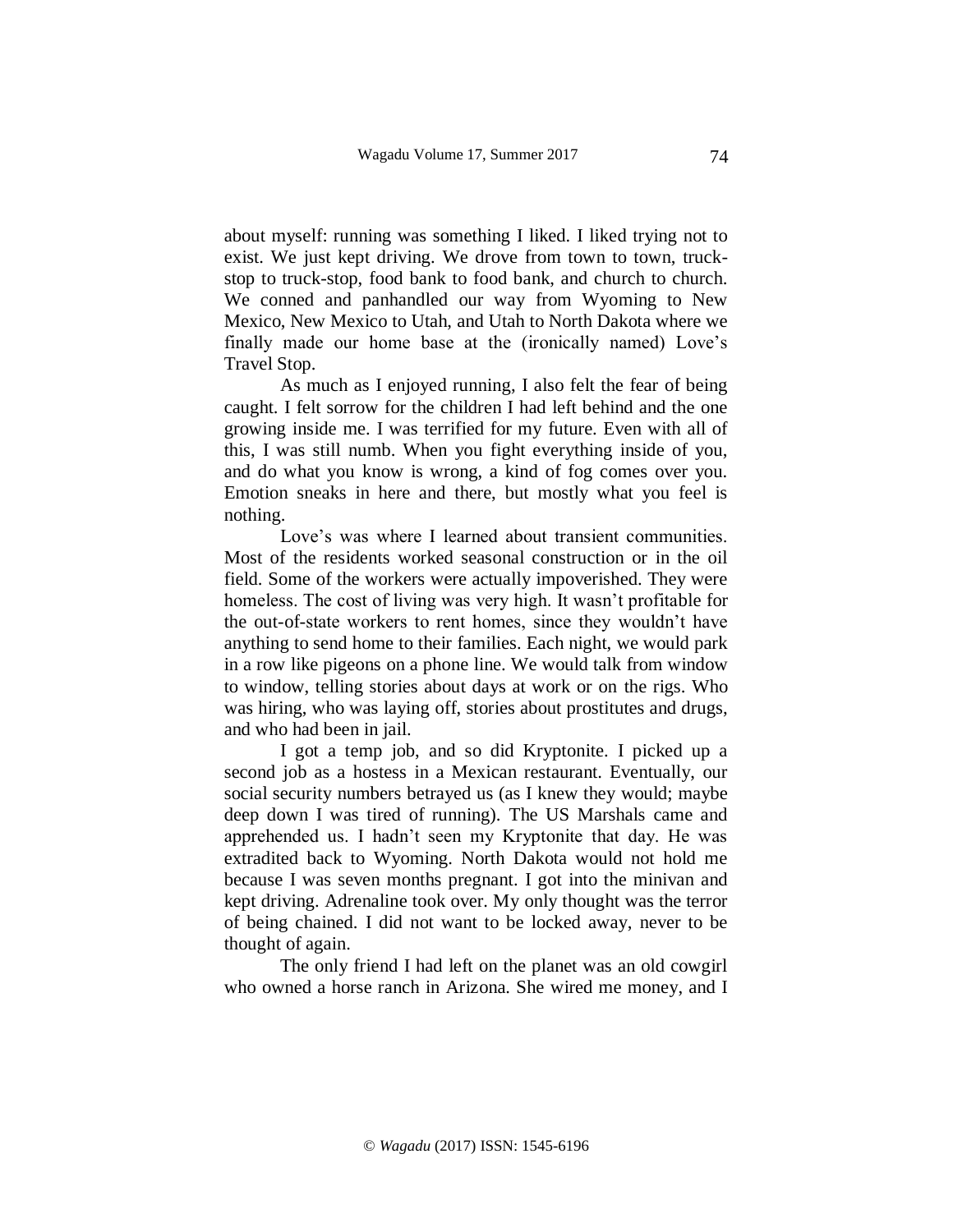about myself: running was something I liked. I liked trying not to exist. We just kept driving. We drove from town to town, truckstop to truck-stop, food bank to food bank, and church to church. We conned and panhandled our way from Wyoming to New Mexico, New Mexico to Utah, and Utah to North Dakota where we finally made our home base at the (ironically named) Love's Travel Stop.

As much as I enjoyed running, I also felt the fear of being caught. I felt sorrow for the children I had left behind and the one growing inside me. I was terrified for my future. Even with all of this, I was still numb. When you fight everything inside of you, and do what you know is wrong, a kind of fog comes over you. Emotion sneaks in here and there, but mostly what you feel is nothing.

Love's was where I learned about transient communities. Most of the residents worked seasonal construction or in the oil field. Some of the workers were actually impoverished. They were homeless. The cost of living was very high. It wasn't profitable for the out-of-state workers to rent homes, since they wouldn't have anything to send home to their families. Each night, we would park in a row like pigeons on a phone line. We would talk from window to window, telling stories about days at work or on the rigs. Who was hiring, who was laying off, stories about prostitutes and drugs, and who had been in jail.

I got a temp job, and so did Kryptonite. I picked up a second job as a hostess in a Mexican restaurant. Eventually, our social security numbers betrayed us (as I knew they would; maybe deep down I was tired of running). The US Marshals came and apprehended us. I hadn't seen my Kryptonite that day. He was extradited back to Wyoming. North Dakota would not hold me because I was seven months pregnant. I got into the minivan and kept driving. Adrenaline took over. My only thought was the terror of being chained. I did not want to be locked away, never to be thought of again.

The only friend I had left on the planet was an old cowgirl who owned a horse ranch in Arizona. She wired me money, and I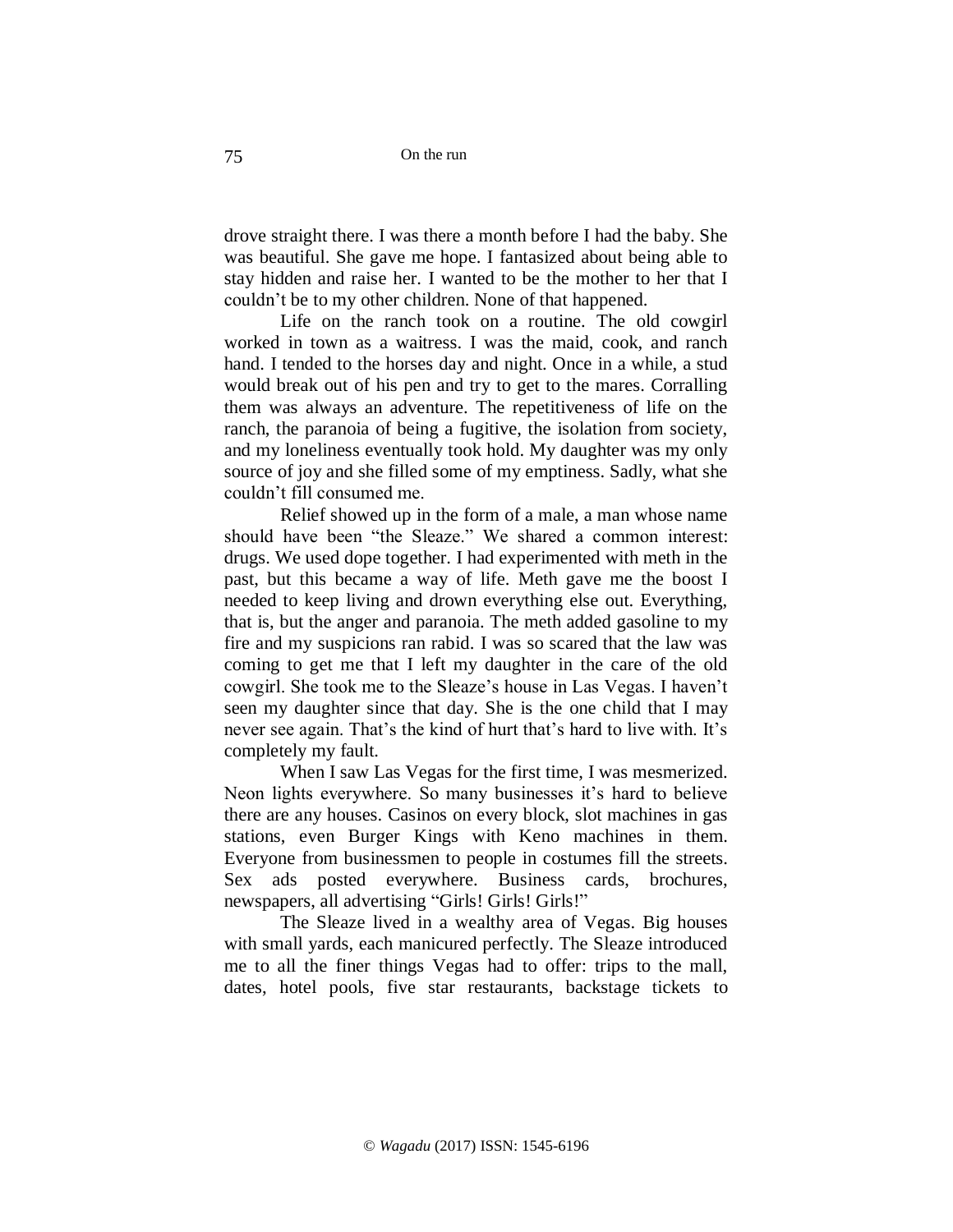drove straight there. I was there a month before I had the baby. She was beautiful. She gave me hope. I fantasized about being able to stay hidden and raise her. I wanted to be the mother to her that I couldn't be to my other children. None of that happened.

Life on the ranch took on a routine. The old cowgirl worked in town as a waitress. I was the maid, cook, and ranch hand. I tended to the horses day and night. Once in a while, a stud would break out of his pen and try to get to the mares. Corralling them was always an adventure. The repetitiveness of life on the ranch, the paranoia of being a fugitive, the isolation from society, and my loneliness eventually took hold. My daughter was my only source of joy and she filled some of my emptiness. Sadly, what she couldn't fill consumed me.

Relief showed up in the form of a male, a man whose name should have been "the Sleaze." We shared a common interest: drugs. We used dope together. I had experimented with meth in the past, but this became a way of life. Meth gave me the boost I needed to keep living and drown everything else out. Everything, that is, but the anger and paranoia. The meth added gasoline to my fire and my suspicions ran rabid. I was so scared that the law was coming to get me that I left my daughter in the care of the old cowgirl. She took me to the Sleaze's house in Las Vegas. I haven't seen my daughter since that day. She is the one child that I may never see again. That's the kind of hurt that's hard to live with. It's completely my fault.

When I saw Las Vegas for the first time, I was mesmerized. Neon lights everywhere. So many businesses it's hard to believe there are any houses. Casinos on every block, slot machines in gas stations, even Burger Kings with Keno machines in them. Everyone from businessmen to people in costumes fill the streets. Sex ads posted everywhere. Business cards, brochures, newspapers, all advertising "Girls! Girls! Girls!"

The Sleaze lived in a wealthy area of Vegas. Big houses with small yards, each manicured perfectly. The Sleaze introduced me to all the finer things Vegas had to offer: trips to the mall, dates, hotel pools, five star restaurants, backstage tickets to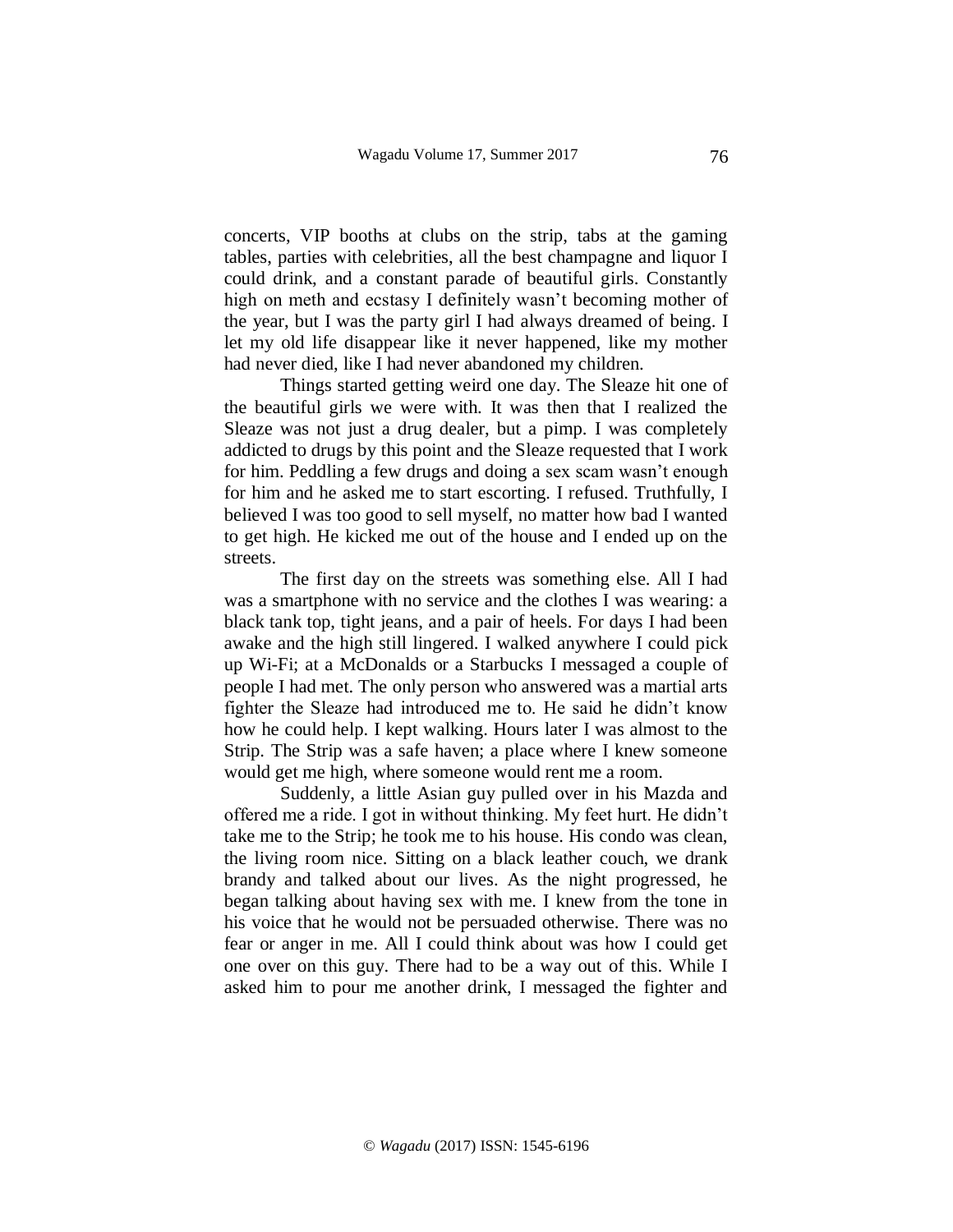concerts, VIP booths at clubs on the strip, tabs at the gaming tables, parties with celebrities, all the best champagne and liquor I could drink, and a constant parade of beautiful girls. Constantly high on meth and ecstasy I definitely wasn't becoming mother of the year, but I was the party girl I had always dreamed of being. I let my old life disappear like it never happened, like my mother had never died, like I had never abandoned my children.

Things started getting weird one day. The Sleaze hit one of the beautiful girls we were with. It was then that I realized the Sleaze was not just a drug dealer, but a pimp. I was completely addicted to drugs by this point and the Sleaze requested that I work for him. Peddling a few drugs and doing a sex scam wasn't enough for him and he asked me to start escorting. I refused. Truthfully, I believed I was too good to sell myself, no matter how bad I wanted to get high. He kicked me out of the house and I ended up on the streets.

The first day on the streets was something else. All I had was a smartphone with no service and the clothes I was wearing: a black tank top, tight jeans, and a pair of heels. For days I had been awake and the high still lingered. I walked anywhere I could pick up Wi-Fi; at a McDonalds or a Starbucks I messaged a couple of people I had met. The only person who answered was a martial arts fighter the Sleaze had introduced me to. He said he didn't know how he could help. I kept walking. Hours later I was almost to the Strip. The Strip was a safe haven; a place where I knew someone would get me high, where someone would rent me a room.

Suddenly, a little Asian guy pulled over in his Mazda and offered me a ride. I got in without thinking. My feet hurt. He didn't take me to the Strip; he took me to his house. His condo was clean, the living room nice. Sitting on a black leather couch, we drank brandy and talked about our lives. As the night progressed, he began talking about having sex with me. I knew from the tone in his voice that he would not be persuaded otherwise. There was no fear or anger in me. All I could think about was how I could get one over on this guy. There had to be a way out of this. While I asked him to pour me another drink, I messaged the fighter and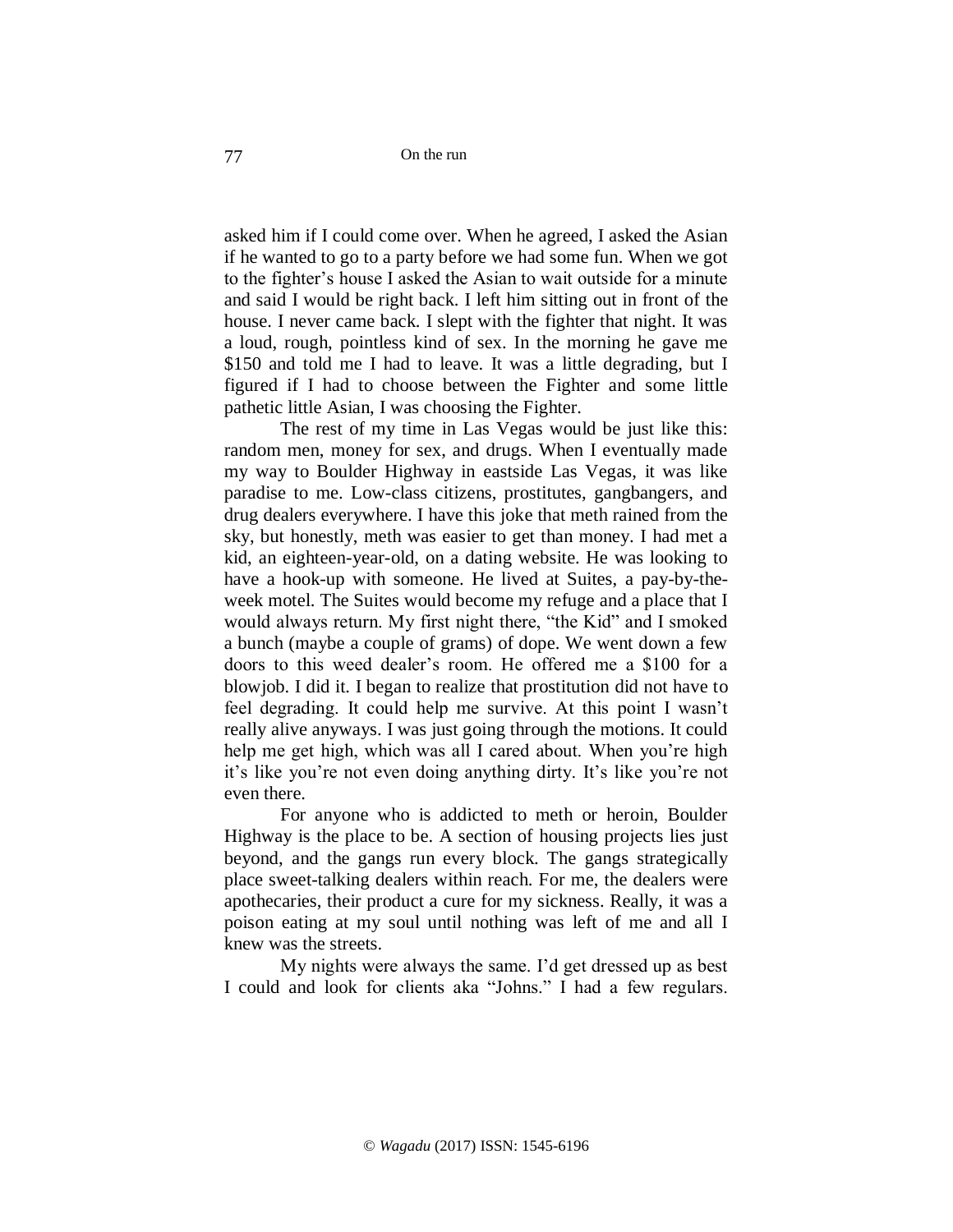asked him if I could come over. When he agreed, I asked the Asian if he wanted to go to a party before we had some fun. When we got to the fighter's house I asked the Asian to wait outside for a minute and said I would be right back. I left him sitting out in front of the house. I never came back. I slept with the fighter that night. It was a loud, rough, pointless kind of sex. In the morning he gave me \$150 and told me I had to leave. It was a little degrading, but I figured if I had to choose between the Fighter and some little pathetic little Asian, I was choosing the Fighter.

The rest of my time in Las Vegas would be just like this: random men, money for sex, and drugs. When I eventually made my way to Boulder Highway in eastside Las Vegas, it was like paradise to me. Low-class citizens, prostitutes, gangbangers, and drug dealers everywhere. I have this joke that meth rained from the sky, but honestly, meth was easier to get than money. I had met a kid, an eighteen-year-old, on a dating website. He was looking to have a hook-up with someone. He lived at Suites, a pay-by-theweek motel. The Suites would become my refuge and a place that I would always return. My first night there, "the Kid" and I smoked a bunch (maybe a couple of grams) of dope. We went down a few doors to this weed dealer's room. He offered me a \$100 for a blowjob. I did it. I began to realize that prostitution did not have to feel degrading. It could help me survive. At this point I wasn't really alive anyways. I was just going through the motions. It could help me get high, which was all I cared about. When you're high it's like you're not even doing anything dirty. It's like you're not even there.

For anyone who is addicted to meth or heroin, Boulder Highway is the place to be. A section of housing projects lies just beyond, and the gangs run every block. The gangs strategically place sweet-talking dealers within reach. For me, the dealers were apothecaries, their product a cure for my sickness. Really, it was a poison eating at my soul until nothing was left of me and all I knew was the streets.

My nights were always the same. I'd get dressed up as best I could and look for clients aka "Johns." I had a few regulars.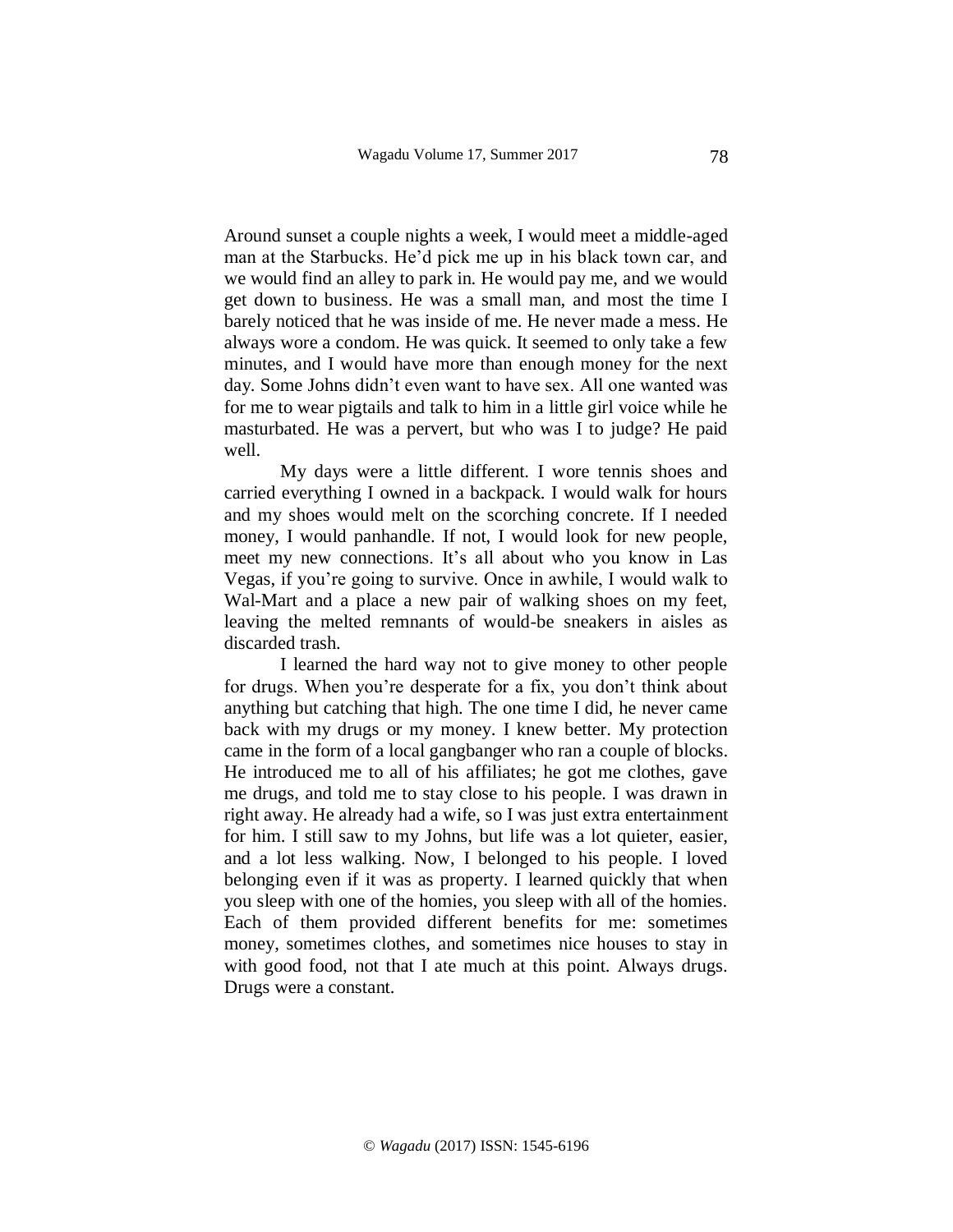Around sunset a couple nights a week, I would meet a middle-aged man at the Starbucks. He'd pick me up in his black town car, and we would find an alley to park in. He would pay me, and we would get down to business. He was a small man, and most the time I barely noticed that he was inside of me. He never made a mess. He always wore a condom. He was quick. It seemed to only take a few minutes, and I would have more than enough money for the next day. Some Johns didn't even want to have sex. All one wanted was for me to wear pigtails and talk to him in a little girl voice while he masturbated. He was a pervert, but who was I to judge? He paid well.

My days were a little different. I wore tennis shoes and carried everything I owned in a backpack. I would walk for hours and my shoes would melt on the scorching concrete. If I needed money, I would panhandle. If not, I would look for new people, meet my new connections. It's all about who you know in Las Vegas, if you're going to survive. Once in awhile, I would walk to Wal-Mart and a place a new pair of walking shoes on my feet, leaving the melted remnants of would-be sneakers in aisles as discarded trash.

I learned the hard way not to give money to other people for drugs. When you're desperate for a fix, you don't think about anything but catching that high. The one time I did, he never came back with my drugs or my money. I knew better. My protection came in the form of a local gangbanger who ran a couple of blocks. He introduced me to all of his affiliates; he got me clothes, gave me drugs, and told me to stay close to his people. I was drawn in right away. He already had a wife, so I was just extra entertainment for him. I still saw to my Johns, but life was a lot quieter, easier, and a lot less walking. Now, I belonged to his people. I loved belonging even if it was as property. I learned quickly that when you sleep with one of the homies, you sleep with all of the homies. Each of them provided different benefits for me: sometimes money, sometimes clothes, and sometimes nice houses to stay in with good food, not that I ate much at this point. Always drugs. Drugs were a constant.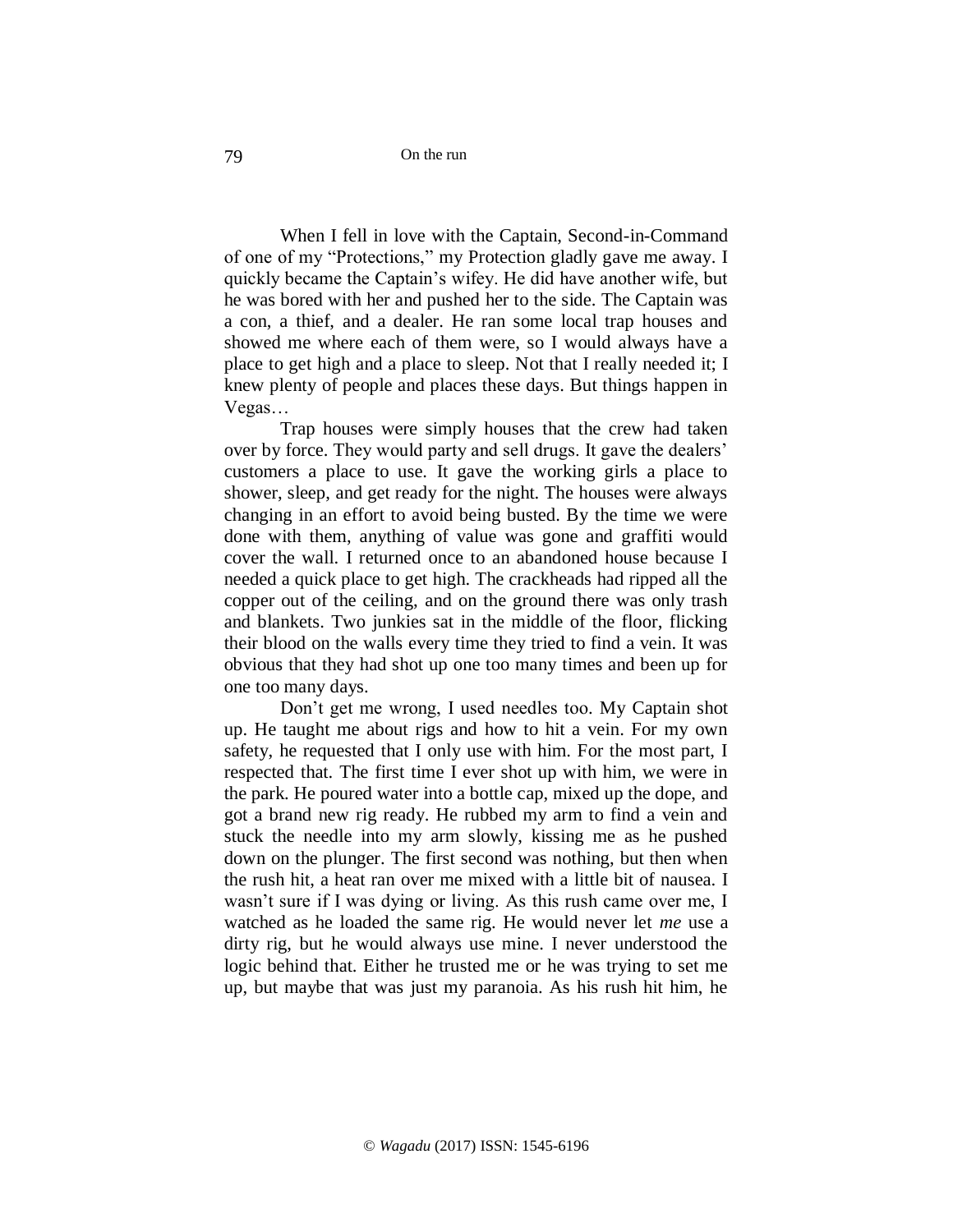On the run

When I fell in love with the Captain, Second-in-Command of one of my "Protections," my Protection gladly gave me away. I quickly became the Captain's wifey. He did have another wife, but he was bored with her and pushed her to the side. The Captain was a con, a thief, and a dealer. He ran some local trap houses and showed me where each of them were, so I would always have a place to get high and a place to sleep. Not that I really needed it; I knew plenty of people and places these days. But things happen in Vegas…

Trap houses were simply houses that the crew had taken over by force. They would party and sell drugs. It gave the dealers' customers a place to use. It gave the working girls a place to shower, sleep, and get ready for the night. The houses were always changing in an effort to avoid being busted. By the time we were done with them, anything of value was gone and graffiti would cover the wall. I returned once to an abandoned house because I needed a quick place to get high. The crackheads had ripped all the copper out of the ceiling, and on the ground there was only trash and blankets. Two junkies sat in the middle of the floor, flicking their blood on the walls every time they tried to find a vein. It was obvious that they had shot up one too many times and been up for one too many days.

Don't get me wrong, I used needles too. My Captain shot up. He taught me about rigs and how to hit a vein. For my own safety, he requested that I only use with him. For the most part, I respected that. The first time I ever shot up with him, we were in the park. He poured water into a bottle cap, mixed up the dope, and got a brand new rig ready. He rubbed my arm to find a vein and stuck the needle into my arm slowly, kissing me as he pushed down on the plunger. The first second was nothing, but then when the rush hit, a heat ran over me mixed with a little bit of nausea. I wasn't sure if I was dying or living. As this rush came over me, I watched as he loaded the same rig. He would never let *me* use a dirty rig, but he would always use mine. I never understood the logic behind that. Either he trusted me or he was trying to set me up, but maybe that was just my paranoia. As his rush hit him, he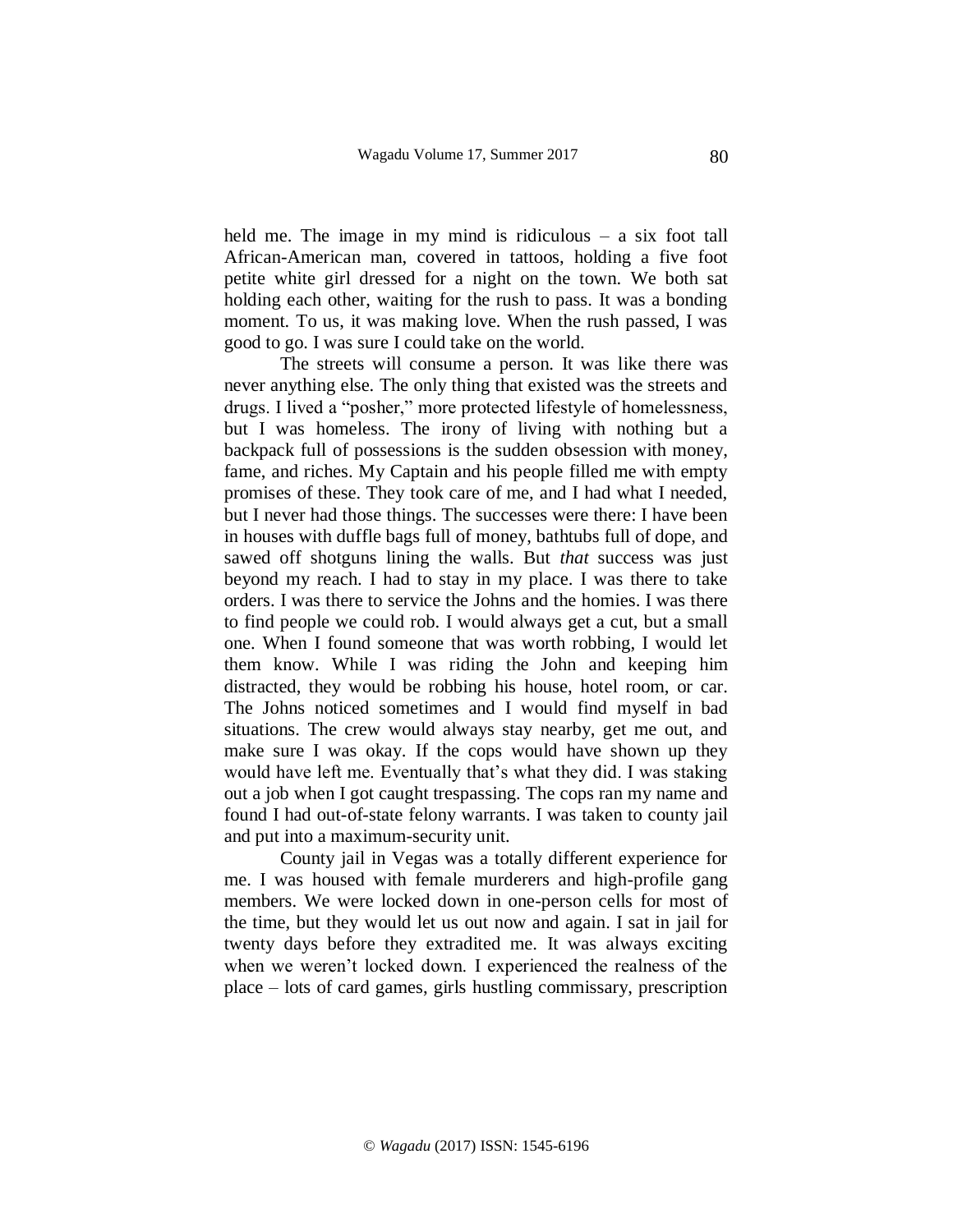held me. The image in my mind is ridiculous – a six foot tall African-American man, covered in tattoos, holding a five foot petite white girl dressed for a night on the town. We both sat holding each other, waiting for the rush to pass. It was a bonding moment. To us, it was making love. When the rush passed, I was good to go. I was sure I could take on the world.

The streets will consume a person. It was like there was never anything else. The only thing that existed was the streets and drugs. I lived a "posher," more protected lifestyle of homelessness, but I was homeless. The irony of living with nothing but a backpack full of possessions is the sudden obsession with money, fame, and riches. My Captain and his people filled me with empty promises of these. They took care of me, and I had what I needed, but I never had those things. The successes were there: I have been in houses with duffle bags full of money, bathtubs full of dope, and sawed off shotguns lining the walls. But *that* success was just beyond my reach. I had to stay in my place. I was there to take orders. I was there to service the Johns and the homies. I was there to find people we could rob. I would always get a cut, but a small one. When I found someone that was worth robbing, I would let them know. While I was riding the John and keeping him distracted, they would be robbing his house, hotel room, or car. The Johns noticed sometimes and I would find myself in bad situations. The crew would always stay nearby, get me out, and make sure I was okay. If the cops would have shown up they would have left me. Eventually that's what they did. I was staking out a job when I got caught trespassing. The cops ran my name and found I had out-of-state felony warrants. I was taken to county jail and put into a maximum-security unit.

County jail in Vegas was a totally different experience for me. I was housed with female murderers and high-profile gang members. We were locked down in one-person cells for most of the time, but they would let us out now and again. I sat in jail for twenty days before they extradited me. It was always exciting when we weren't locked down. I experienced the realness of the place – lots of card games, girls hustling commissary, prescription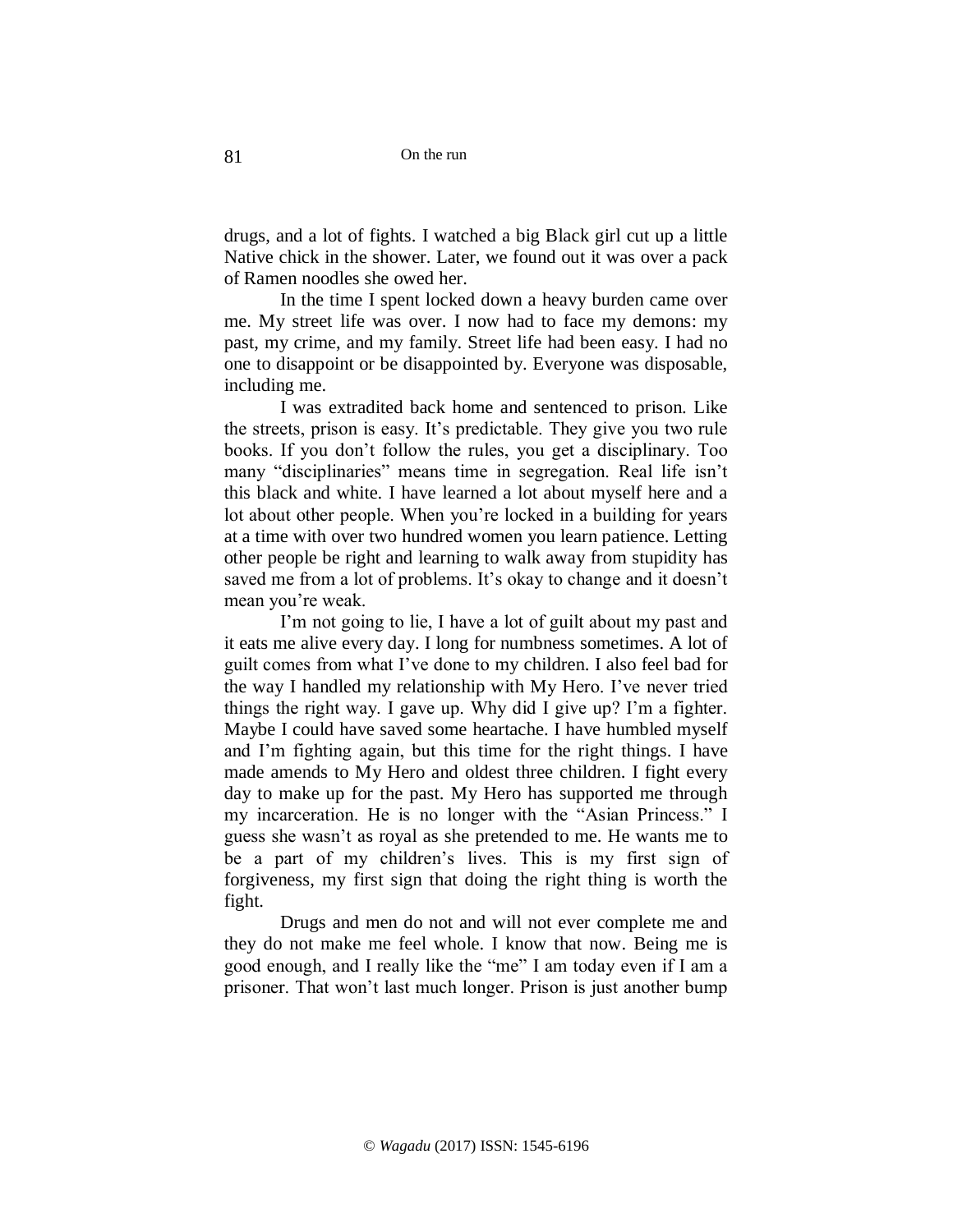On the run

drugs, and a lot of fights. I watched a big Black girl cut up a little Native chick in the shower. Later, we found out it was over a pack of Ramen noodles she owed her.

In the time I spent locked down a heavy burden came over me. My street life was over. I now had to face my demons: my past, my crime, and my family. Street life had been easy. I had no one to disappoint or be disappointed by. Everyone was disposable, including me.

I was extradited back home and sentenced to prison. Like the streets, prison is easy. It's predictable. They give you two rule books. If you don't follow the rules, you get a disciplinary. Too many "disciplinaries" means time in segregation. Real life isn't this black and white. I have learned a lot about myself here and a lot about other people. When you're locked in a building for years at a time with over two hundred women you learn patience. Letting other people be right and learning to walk away from stupidity has saved me from a lot of problems. It's okay to change and it doesn't mean you're weak.

I'm not going to lie, I have a lot of guilt about my past and it eats me alive every day. I long for numbness sometimes. A lot of guilt comes from what I've done to my children. I also feel bad for the way I handled my relationship with My Hero. I've never tried things the right way. I gave up. Why did I give up? I'm a fighter. Maybe I could have saved some heartache. I have humbled myself and I'm fighting again, but this time for the right things. I have made amends to My Hero and oldest three children. I fight every day to make up for the past. My Hero has supported me through my incarceration. He is no longer with the "Asian Princess." I guess she wasn't as royal as she pretended to me. He wants me to be a part of my children's lives. This is my first sign of forgiveness, my first sign that doing the right thing is worth the fight.

Drugs and men do not and will not ever complete me and they do not make me feel whole. I know that now. Being me is good enough, and I really like the "me" I am today even if I am a prisoner. That won't last much longer. Prison is just another bump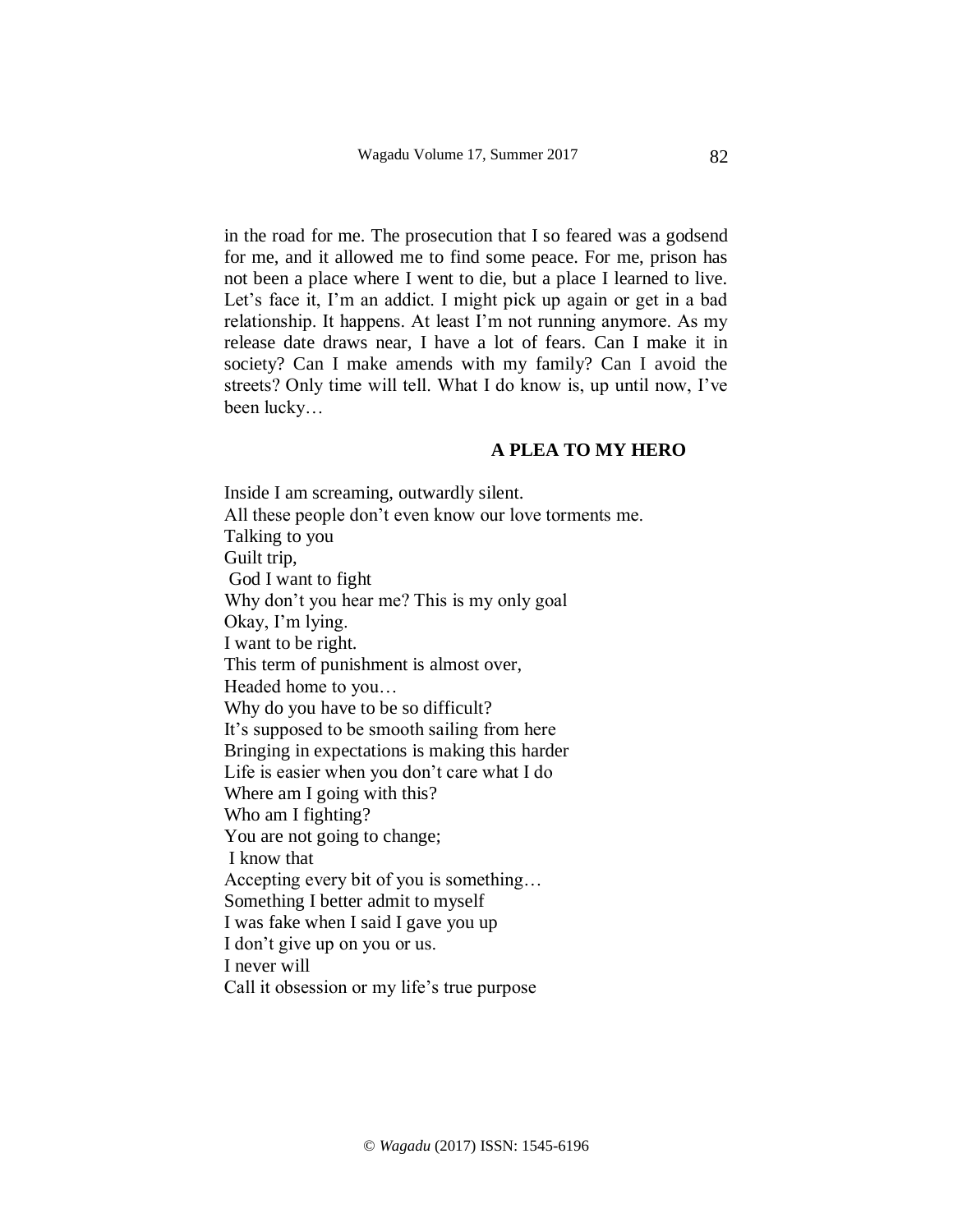in the road for me. The prosecution that I so feared was a godsend for me, and it allowed me to find some peace. For me, prison has not been a place where I went to die, but a place I learned to live. Let's face it, I'm an addict. I might pick up again or get in a bad relationship. It happens. At least I'm not running anymore. As my release date draws near, I have a lot of fears. Can I make it in society? Can I make amends with my family? Can I avoid the streets? Only time will tell. What I do know is, up until now, I've been lucky…

## **A PLEA TO MY HERO**

Inside I am screaming, outwardly silent. All these people don't even know our love torments me. Talking to you Guilt trip, God I want to fight Why don't you hear me? This is my only goal Okay, I'm lying. I want to be right. This term of punishment is almost over, Headed home to you… Why do you have to be so difficult? It's supposed to be smooth sailing from here Bringing in expectations is making this harder Life is easier when you don't care what I do Where am I going with this? Who am I fighting? You are not going to change; I know that Accepting every bit of you is something… Something I better admit to myself I was fake when I said I gave you up I don't give up on you or us. I never will Call it obsession or my life's true purpose